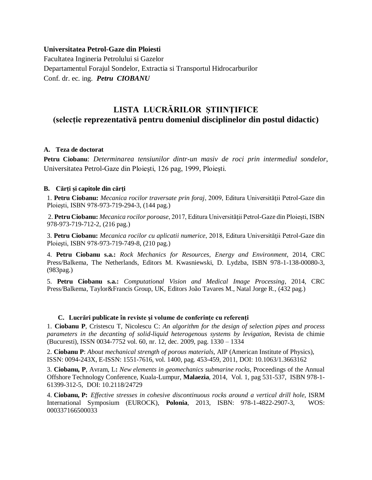### **Universitatea Petrol-Gaze din Ploiesti**

Facultatea Ingineria Petrolului si Gazelor Departamentul Forajul Sondelor, Extractia si Transportul Hidrocarburilor Conf. dr. ec. ing. *Petru CIOBANU* 

# **LISTA LUCRĂRILOR ŞTIINŢIFICE (selecție reprezentativă pentru domeniul disciplinelor din postul didactic)**

### **A. Teza de doctorat**

**Petru Ciobanu**: *Determinarea tensiunilor dintr-un masiv de roci prin intermediul sondelor*, Universitatea Petrol-Gaze din Ploieşti, 126 pag, 1999, Ploieşti.

## **B. Cărţi și capitole din cărţi**

1. **Petru Ciobanu:** *Mecanica rocilor traversate prin foraj*, 2009, Editura Universităţii Petrol-Gaze din Ploieşti, ISBN 978-973-719-294-3, (144 pag.)

2. **Petru Ciobanu:** *Mecanica rocilor poroase*, 2017, Editura Universităţii Petrol-Gaze din Ploieşti, ISBN 978-973-719-712-2, (216 pag.)

3. **Petru Ciobanu:** *Mecanica rocilor cu aplicatii numerice*, 2018, Editura Universităţii Petrol-Gaze din Ploieşti, ISBN 978-973-719-749-8, (210 pag.)

4. **Petru Ciobanu s.a.:** *Rock Mechanics for Resources, Energy and Environment*, 2014, CRC Press/Balkema, The Netherlands, Editors M. Kwasniewski, D. Lydzba, ISBN 978-1-138-00080-3, (983pag.)

5. **Petru Ciobanu s.a.:** *Computational Vision and Medical Image Processing*, 2014, CRC Press/Balkema, Taylor&Francis Group, UK, Editors João Tavares M., Natal Jorge R., (432 pag.)

#### **C. Lucrări publicate în reviste şi volume de conferinţe cu referenţi**

1. **Ciobanu P**, Cristescu T, Nicolescu C: *An algorithm for the design of selection pipes and process parameters in the decanting of solid-liquid heterogenous systems by levigation*, Revista de chimie (Bucuresti), ISSN 0034-7752 vol. 60, nr. 12, dec. 2009, pag. 1330 – 1334

2. **Ciobanu P**: *About mechanical strength of porous materials*, AIP (American Institute of Physics), ISSN: 0094-243X, E-ISSN: 1551-7616, vol. 1400, pag. 453-459, 2011, [DOI:](http://dx.doi.org/DOI) 10.1063/1.3663162

3. **Ciobanu, P**, Avram, L**:** *New elements in geomechanics submarine rocks*, Proceedings of the Annual Offshore Technology Conference, Kuala-Lumpur, **Malaezia**, 2014, Vol. 1, pag 531-537, ISBN 978-1- 61399-312-5, DOI: 10.2118/24729

4. **Ciobanu, P:** *Effective stresses in cohesive discontinuous rocks around a vertical drill hole*, ISRM International Symposium (EUROCK), **Polonia**, 2013, ISBN: 978-1-4822-2907-3, WOS: 000337166500033